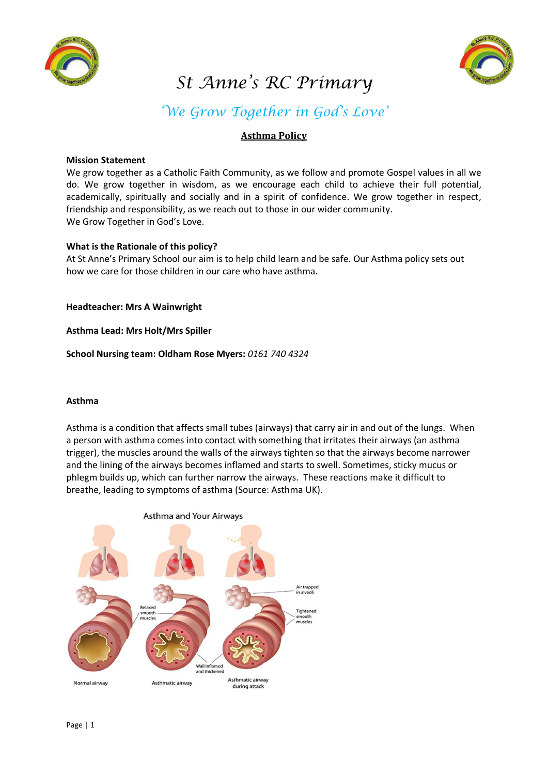



# *St Anne's RC Primary*

# *'We Grow Together in God's Love'*

#### **Asthma Policy**

#### **Mission Statement**

We grow together as a Catholic Faith Community, as we follow and promote Gospel values in all we do. We grow together in wisdom, as we encourage each child to achieve their full potential, academically, spiritually and socially and in a spirit of confidence. We grow together in respect, friendship and responsibility, as we reach out to those in our wider community. We Grow Together in God's Love.

#### **What is the Rationale of this policy?**

At St Anne's Primary School our aim is to help child learn and be safe. Our Asthma policy sets out how we care for those children in our care who have asthma.

**Headteacher: Mrs A Wainwright** 

**Asthma Lead: Mrs Holt/Mrs Spiller** 

**School Nursing team: Oldham Rose Myers:** *0161 740 4324*

#### **Asthma**

Asthma is a condition that affects small tubes (airways) that carry air in and out of the lungs. When a person with asthma comes into contact with something that irritates their airways (an asthma trigger), the muscles around the walls of the airways tighten so that the airways become narrower and the lining of the airways becomes inflamed and starts to swell. Sometimes, sticky mucus or phlegm builds up, which can further narrow the airways. These reactions make it difficult to breathe, leading to symptoms of asthma (Source: Asthma UK).

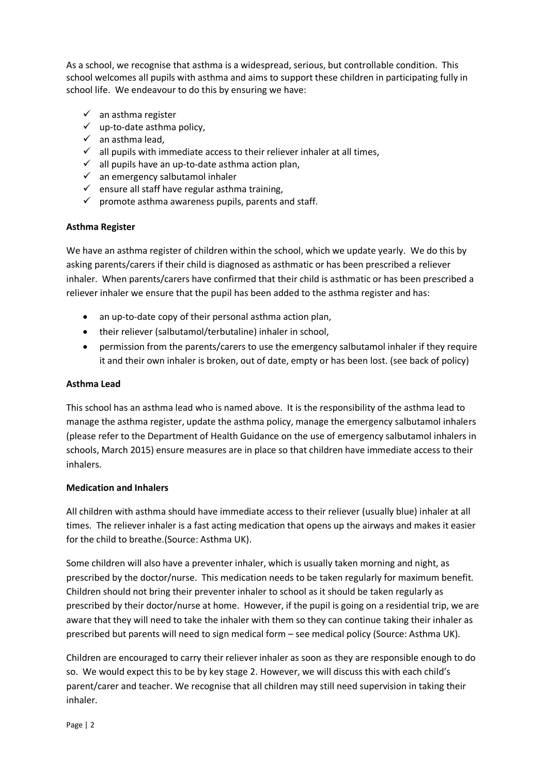As a school, we recognise that asthma is a widespread, serious, but controllable condition. This school welcomes all pupils with asthma and aims to support these children in participating fully in school life. We endeavour to do this by ensuring we have:

- $\checkmark$  an asthma register
- $\checkmark$  up-to-date asthma policy,
- $\checkmark$  an asthma lead,
- $\checkmark$  all pupils with immediate access to their reliever inhaler at all times,
- $\checkmark$  all pupils have an up-to-date asthma action plan,
- $\checkmark$  an emergency salbutamol inhaler
- $\checkmark$  ensure all staff have regular asthma training,
- $\checkmark$  promote asthma awareness pupils, parents and staff.

#### **Asthma Register**

We have an asthma register of children within the school, which we update yearly. We do this by asking parents/carers if their child is diagnosed as asthmatic or has been prescribed a reliever inhaler. When parents/carers have confirmed that their child is asthmatic or has been prescribed a reliever inhaler we ensure that the pupil has been added to the asthma register and has:

- an up-to-date copy of their personal asthma action plan,
- their reliever (salbutamol/terbutaline) inhaler in school,
- permission from the parents/carers to use the emergency salbutamol inhaler if they require it and their own inhaler is broken, out of date, empty or has been lost. (see back of policy)

#### **Asthma Lead**

This school has an asthma lead who is named above. It is the responsibility of the asthma lead to manage the asthma register, update the asthma policy, manage the emergency salbutamol inhalers (please refer to the Department of Health Guidance on the use of emergency salbutamol inhalers in schools, March 2015) ensure measures are in place so that children have immediate access to their inhalers.

#### **Medication and Inhalers**

All children with asthma should have immediate access to their reliever (usually blue) inhaler at all times. The reliever inhaler is a fast acting medication that opens up the airways and makes it easier for the child to breathe.(Source: Asthma UK).

Some children will also have a preventer inhaler, which is usually taken morning and night, as prescribed by the doctor/nurse. This medication needs to be taken regularly for maximum benefit. Children should not bring their preventer inhaler to school as it should be taken regularly as prescribed by their doctor/nurse at home. However, if the pupil is going on a residential trip, we are aware that they will need to take the inhaler with them so they can continue taking their inhaler as prescribed but parents will need to sign medical form – see medical policy (Source: Asthma UK).

Children are encouraged to carry their reliever inhaler as soon as they are responsible enough to do so. We would expect this to be by key stage 2. However, we will discuss this with each child's parent/carer and teacher. We recognise that all children may still need supervision in taking their inhaler.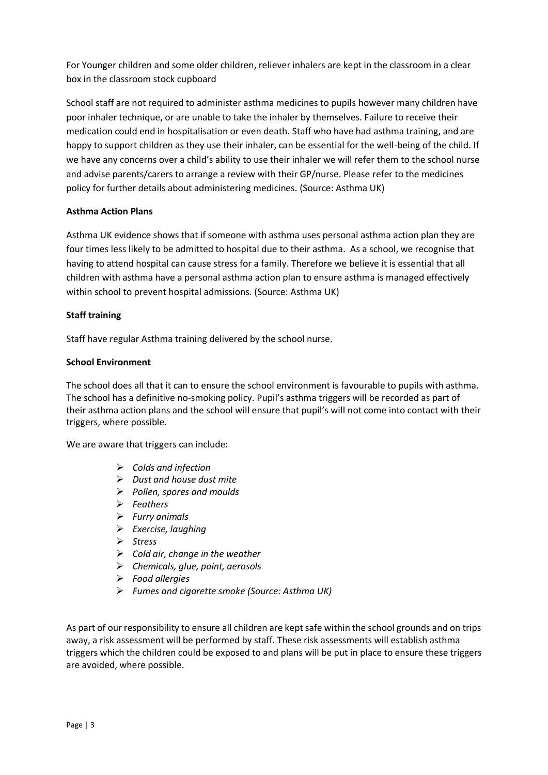For Younger children and some older children, reliever inhalers are kept in the classroom in a clear box in the classroom stock cupboard

School staff are not required to administer asthma medicines to pupils however many children have poor inhaler technique, or are unable to take the inhaler by themselves. Failure to receive their medication could end in hospitalisation or even death. Staff who have had asthma training, and are happy to support children as they use their inhaler, can be essential for the well-being of the child. If we have any concerns over a child's ability to use their inhaler we will refer them to the school nurse and advise parents/carers to arrange a review with their GP/nurse. Please refer to the medicines policy for further details about administering medicines. (Source: Asthma UK)

#### **Asthma Action Plans**

Asthma UK evidence shows that if someone with asthma uses personal asthma action plan they are four times less likely to be admitted to hospital due to their asthma. As a school, we recognise that having to attend hospital can cause stress for a family. Therefore we believe it is essential that all children with asthma have a personal asthma action plan to ensure asthma is managed effectively within school to prevent hospital admissions. (Source: Asthma UK)

#### **Staff training**

Staff have regular Asthma training delivered by the school nurse.

#### **School Environment**

The school does all that it can to ensure the school environment is favourable to pupils with asthma. The school has a definitive no-smoking policy. Pupil's asthma triggers will be recorded as part of their asthma action plans and the school will ensure that pupil's will not come into contact with their triggers, where possible.

We are aware that triggers can include:

- *Colds and infection*
- *Dust and house dust mite*
- *Pollen, spores and moulds*
- *Feathers*
- *Furry animals*
- *Exercise, laughing*
- *Stress*
- *Cold air, change in the weather*
- *Chemicals, glue, paint, aerosols*
- *Food allergies*
- *Fumes and cigarette smoke (Source: Asthma UK)*

As part of our responsibility to ensure all children are kept safe within the school grounds and on trips away, a risk assessment will be performed by staff. These risk assessments will establish asthma triggers which the children could be exposed to and plans will be put in place to ensure these triggers are avoided, where possible.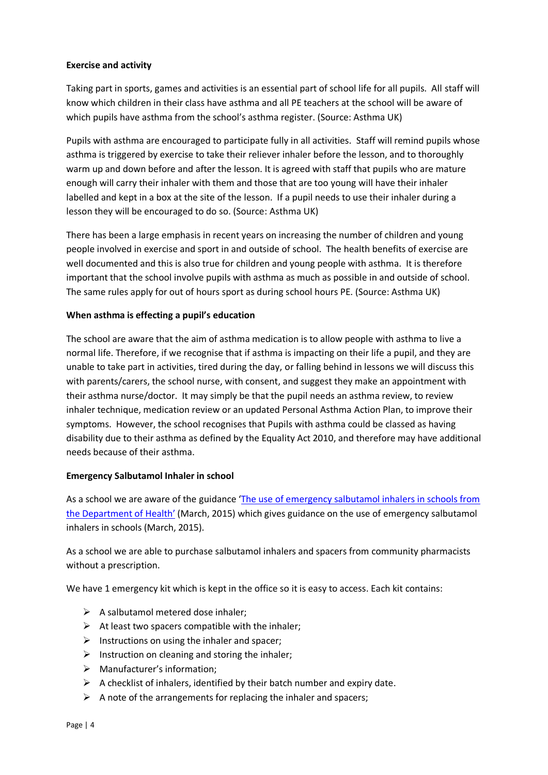#### **Exercise and activity**

Taking part in sports, games and activities is an essential part of school life for all pupils. All staff will know which children in their class have asthma and all PE teachers at the school will be aware of which pupils have asthma from the school's asthma register. (Source: Asthma UK)

Pupils with asthma are encouraged to participate fully in all activities. Staff will remind pupils whose asthma is triggered by exercise to take their reliever inhaler before the lesson, and to thoroughly warm up and down before and after the lesson. It is agreed with staff that pupils who are mature enough will carry their inhaler with them and those that are too young will have their inhaler labelled and kept in a box at the site of the lesson. If a pupil needs to use their inhaler during a lesson they will be encouraged to do so. (Source: Asthma UK)

There has been a large emphasis in recent years on increasing the number of children and young people involved in exercise and sport in and outside of school. The health benefits of exercise are well documented and this is also true for children and young people with asthma. It is therefore important that the school involve pupils with asthma as much as possible in and outside of school. The same rules apply for out of hours sport as during school hours PE. (Source: Asthma UK)

#### **When asthma is effecting a pupil's education**

The school are aware that the aim of asthma medication is to allow people with asthma to live a normal life. Therefore, if we recognise that if asthma is impacting on their life a pupil, and they are unable to take part in activities, tired during the day, or falling behind in lessons we will discuss this with parents/carers, the school nurse, with consent, and suggest they make an appointment with their asthma nurse/doctor. It may simply be that the pupil needs an asthma review, to review inhaler technique, medication review or an updated Personal Asthma Action Plan, to improve their symptoms. However, the school recognises that Pupils with asthma could be classed as having disability due to their asthma as defined by the Equality Act 2010, and therefore may have additional needs because of their asthma.

#### **Emergency Salbutamol Inhaler in school**

As a school we are aware of the guidance 'The use of emergency salbutamol inhalers in schools from [the Department of Health](https://www.gov.uk/government/publications/emergency-asthma-inhalers-for-use-in-schools)' (March, 2015) which gives guidance on the use of emergency salbutamol inhalers in schools (March, 2015).

As a school we are able to purchase salbutamol inhalers and spacers from community pharmacists without a prescription.

We have 1 emergency kit which is kept in the office so it is easy to access. Each kit contains:

- $\triangleright$  A salbutamol metered dose inhaler;
- $\triangleright$  At least two spacers compatible with the inhaler;
- $\triangleright$  Instructions on using the inhaler and spacer;
- $\triangleright$  Instruction on cleaning and storing the inhaler;
- Manufacturer's information;
- $\triangleright$  A checklist of inhalers, identified by their batch number and expiry date.
- $\triangleright$  A note of the arrangements for replacing the inhaler and spacers;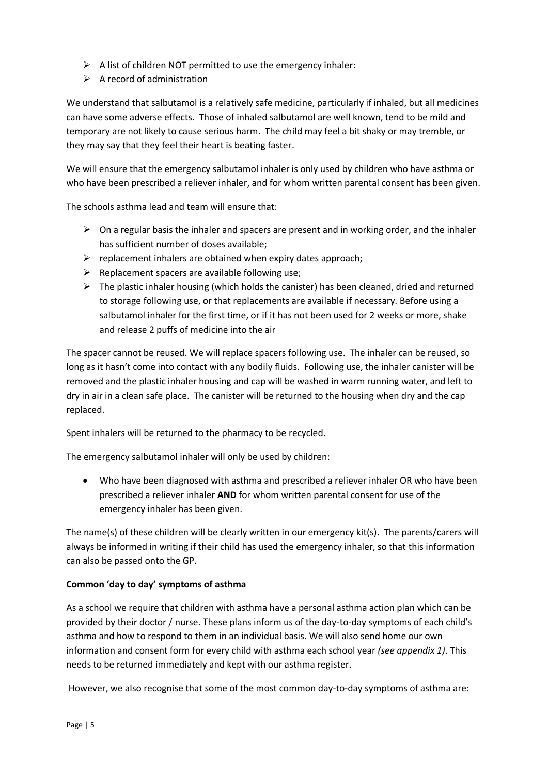- $\triangleright$  A list of children NOT permitted to use the emergency inhaler:
- $\triangleright$  A record of administration

We understand that salbutamol is a relatively safe medicine, particularly if inhaled, but all medicines can have some adverse effects. Those of inhaled salbutamol are well known, tend to be mild and temporary are not likely to cause serious harm. The child may feel a bit shaky or may tremble, or they may say that they feel their heart is beating faster.

We will ensure that the emergency salbutamol inhaler is only used by children who have asthma or who have been prescribed a reliever inhaler, and for whom written parental consent has been given.

The schools asthma lead and team will ensure that:

- $\triangleright$  On a regular basis the inhaler and spacers are present and in working order, and the inhaler has sufficient number of doses available;
- $\triangleright$  replacement inhalers are obtained when expiry dates approach;
- $\triangleright$  Replacement spacers are available following use;
- $\triangleright$  The plastic inhaler housing (which holds the canister) has been cleaned, dried and returned to storage following use, or that replacements are available if necessary. Before using a salbutamol inhaler for the first time, or if it has not been used for 2 weeks or more, shake and release 2 puffs of medicine into the air

The spacer cannot be reused. We will replace spacers following use. The inhaler can be reused, so long as it hasn't come into contact with any bodily fluids. Following use, the inhaler canister will be removed and the plastic inhaler housing and cap will be washed in warm running water, and left to dry in air in a clean safe place. The canister will be returned to the housing when dry and the cap replaced.

Spent inhalers will be returned to the pharmacy to be recycled.

The emergency salbutamol inhaler will only be used by children:

 Who have been diagnosed with asthma and prescribed a reliever inhaler OR who have been prescribed a reliever inhaler **AND** for whom written parental consent for use of the emergency inhaler has been given.

The name(s) of these children will be clearly written in our emergency kit(s). The parents/carers will always be informed in writing if their child has used the emergency inhaler, so that this information can also be passed onto the GP.

#### **Common 'day to day' symptoms of asthma**

As a school we require that children with asthma have a personal asthma action plan which can be provided by their doctor / nurse. These plans inform us of the day-to-day symptoms of each child's asthma and how to respond to them in an individual basis. We will also send home our own information and consent form for every child with asthma each school year *(see appendix 1)*. This needs to be returned immediately and kept with our asthma register.

However, we also recognise that some of the most common day-to-day symptoms of asthma are: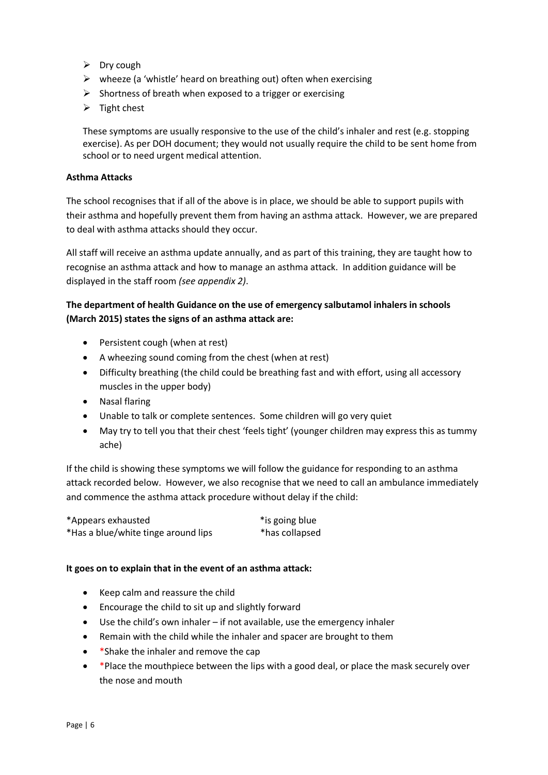- $\triangleright$  Dry cough
- $\triangleright$  wheeze (a 'whistle' heard on breathing out) often when exercising
- $\triangleright$  Shortness of breath when exposed to a trigger or exercising
- $\triangleright$  Tight chest

These symptoms are usually responsive to the use of the child's inhaler and rest (e.g. stopping exercise). As per DOH document; they would not usually require the child to be sent home from school or to need urgent medical attention.

#### **Asthma Attacks**

The school recognises that if all of the above is in place, we should be able to support pupils with their asthma and hopefully prevent them from having an asthma attack. However, we are prepared to deal with asthma attacks should they occur.

All staff will receive an asthma update annually, and as part of this training, they are taught how to recognise an asthma attack and how to manage an asthma attack. In addition guidance will be displayed in the staff room *(see appendix 2)*.

## **The department of health Guidance on the use of emergency salbutamol inhalers in schools (March 2015) states the signs of an asthma attack are:**

- Persistent cough (when at rest)
- A wheezing sound coming from the chest (when at rest)
- Difficulty breathing (the child could be breathing fast and with effort, using all accessory muscles in the upper body)
- Nasal flaring
- Unable to talk or complete sentences. Some children will go very quiet
- May try to tell you that their chest 'feels tight' (younger children may express this as tummy ache)

If the child is showing these symptoms we will follow the guidance for responding to an asthma attack recorded below. However, we also recognise that we need to call an ambulance immediately and commence the asthma attack procedure without delay if the child:

| *Appears exhausted                  | *is going blue |
|-------------------------------------|----------------|
| *Has a blue/white tinge around lips | *has collapsed |

#### **It goes on to explain that in the event of an asthma attack:**

- Keep calm and reassure the child
- Encourage the child to sit up and slightly forward
- Use the child's own inhaler if not available, use the emergency inhaler
- Remain with the child while the inhaler and spacer are brought to them
- \*Shake the inhaler and remove the cap
- \* Place the mouthpiece between the lips with a good deal, or place the mask securely over the nose and mouth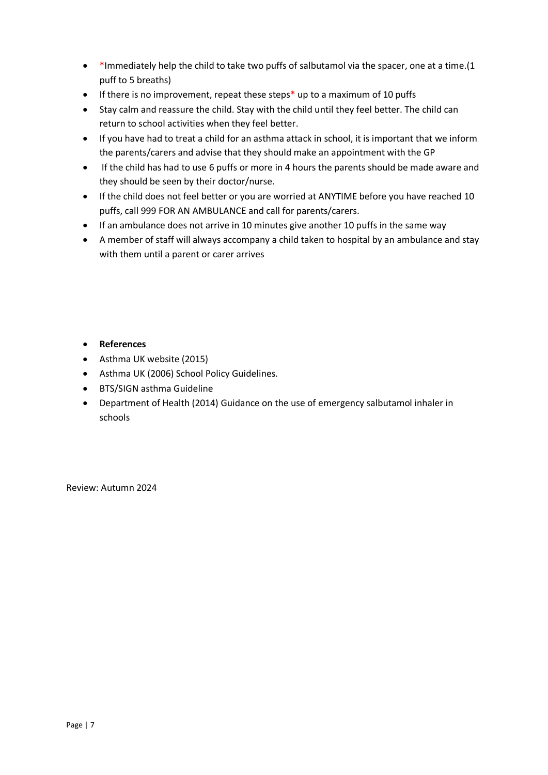- \*Immediately help the child to take two puffs of salbutamol via the spacer, one at a time.(1 puff to 5 breaths)
- If there is no improvement, repeat these steps\* up to a maximum of 10 puffs
- Stay calm and reassure the child. Stay with the child until they feel better. The child can return to school activities when they feel better.
- If you have had to treat a child for an asthma attack in school, it is important that we inform the parents/carers and advise that they should make an appointment with the GP
- If the child has had to use 6 puffs or more in 4 hours the parents should be made aware and they should be seen by their doctor/nurse.
- If the child does not feel better or you are worried at ANYTIME before you have reached 10 puffs, call 999 FOR AN AMBULANCE and call for parents/carers.
- If an ambulance does not arrive in 10 minutes give another 10 puffs in the same way
- A member of staff will always accompany a child taken to hospital by an ambulance and stay with them until a parent or carer arrives

- **References**
- Asthma UK website (2015)
- Asthma UK (2006) School Policy Guidelines.
- BTS/SIGN asthma Guideline
- Department of Health (2014) Guidance on the use of emergency salbutamol inhaler in schools

Review: Autumn 2024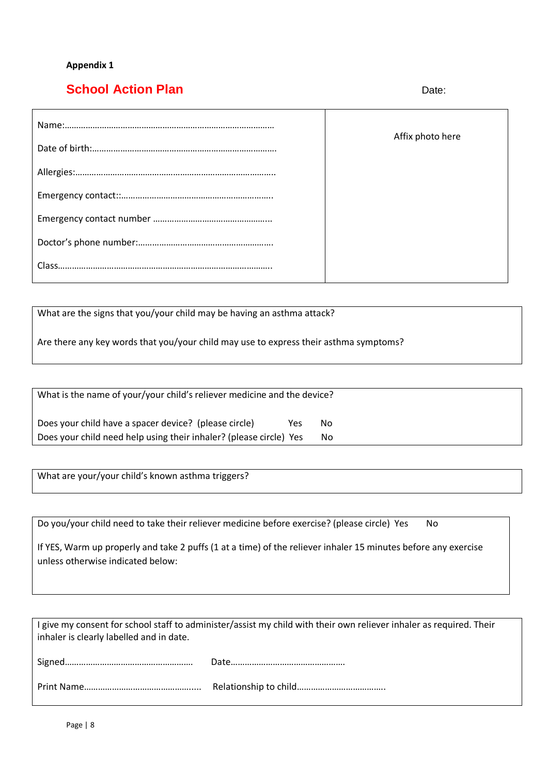#### **Appendix 1**

# **School Action Plan** Date: Date:

| Affix photo here |
|------------------|
|                  |
|                  |
|                  |
|                  |
|                  |

What are the signs that you/your child may be having an asthma attack?

Are there any key words that you/your child may use to express their asthma symptoms?

| What is the name of your/your child's reliever medicine and the device? |     |    |  |  |
|-------------------------------------------------------------------------|-----|----|--|--|
| Does your child have a spacer device? (please circle)                   | Yes | No |  |  |
| Does your child need help using their inhaler? (please circle) Yes      |     | No |  |  |

What are your/your child's known asthma triggers?

Do you/your child need to take their reliever medicine before exercise? (please circle) Yes No

If YES, Warm up properly and take 2 puffs (1 at a time) of the reliever inhaler 15 minutes before any exercise unless otherwise indicated below:

| I give my consent for school staff to administer/assist my child with their own reliever inhaler as required. Their<br>inhaler is clearly labelled and in date. |  |  |  |
|-----------------------------------------------------------------------------------------------------------------------------------------------------------------|--|--|--|
|                                                                                                                                                                 |  |  |  |
|                                                                                                                                                                 |  |  |  |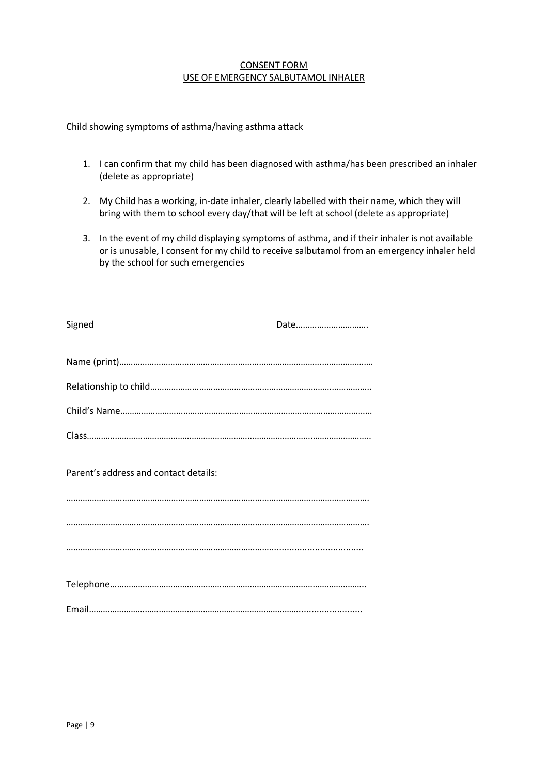#### CONSENT FORM USE OF EMERGENCY SALBUTAMOL INHALER

Child showing symptoms of asthma/having asthma attack

- 1. I can confirm that my child has been diagnosed with asthma/has been prescribed an inhaler (delete as appropriate)
- 2. My Child has a working, in-date inhaler, clearly labelled with their name, which they will bring with them to school every day/that will be left at school (delete as appropriate)
- 3. In the event of my child displaying symptoms of asthma, and if their inhaler is not available or is unusable, I consent for my child to receive salbutamol from an emergency inhaler held by the school for such emergencies

| Signed                                | Date |
|---------------------------------------|------|
|                                       |      |
|                                       |      |
|                                       |      |
|                                       |      |
| Parent's address and contact details: |      |
|                                       |      |
|                                       |      |
|                                       |      |
|                                       |      |
|                                       |      |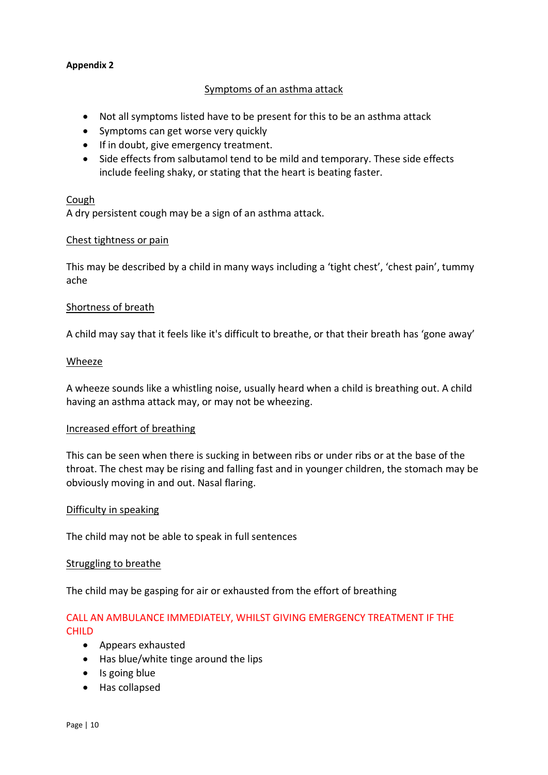#### **Appendix 2**

## Symptoms of an asthma attack

- Not all symptoms listed have to be present for this to be an asthma attack
- Symptoms can get worse very quickly
- If in doubt, give emergency treatment.
- Side effects from salbutamol tend to be mild and temporary. These side effects include feeling shaky, or stating that the heart is beating faster.

#### Cough

A dry persistent cough may be a sign of an asthma attack.

#### Chest tightness or pain

This may be described by a child in many ways including a 'tight chest', 'chest pain', tummy ache

#### Shortness of breath

A child may say that it feels like it's difficult to breathe, or that their breath has 'gone away'

#### Wheeze

A wheeze sounds like a whistling noise, usually heard when a child is breathing out. A child having an asthma attack may, or may not be wheezing.

#### Increased effort of breathing

This can be seen when there is sucking in between ribs or under ribs or at the base of the throat. The chest may be rising and falling fast and in younger children, the stomach may be obviously moving in and out. Nasal flaring.

#### Difficulty in speaking

The child may not be able to speak in full sentences

#### Struggling to breathe

The child may be gasping for air or exhausted from the effort of breathing

# CALL AN AMBULANCE IMMEDIATELY, WHILST GIVING EMERGENCY TREATMENT IF THE CHILD

- Appears exhausted
- Has blue/white tinge around the lips
- Is going blue
- Has collapsed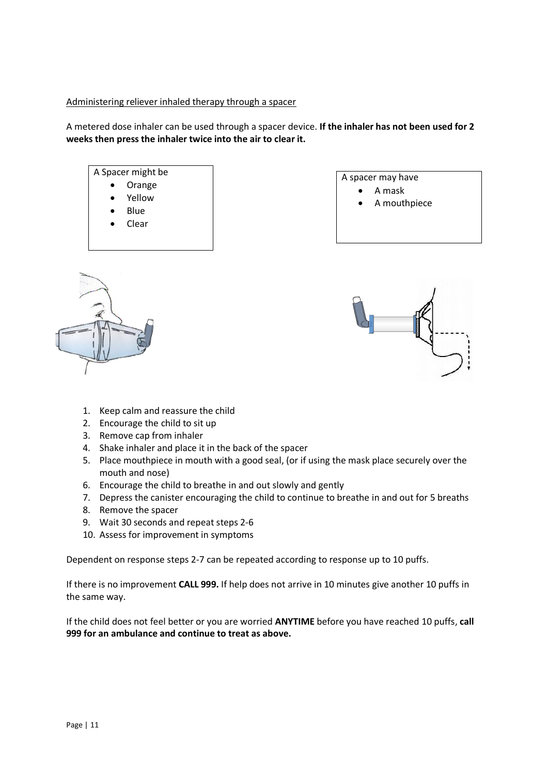#### Administering reliever inhaled therapy through a spacer

A metered dose inhaler can be used through a spacer device. **If the inhaler has not been used for 2 weeks then press the inhaler twice into the air to clear it.**

## A Spacer might be Orange Yellow Blue Clear

#### A spacer may have A mask

A mouthpiece





- 1. Keep calm and reassure the child
- 2. Encourage the child to sit up
- 3. Remove cap from inhaler
- 4. Shake inhaler and place it in the back of the spacer
- 5. Place mouthpiece in mouth with a good seal, (or if using the mask place securely over the mouth and nose)
- 6. Encourage the child to breathe in and out slowly and gently
- 7. Depress the canister encouraging the child to continue to breathe in and out for 5 breaths
- 8. Remove the spacer
- 9. Wait 30 seconds and repeat steps 2-6
- 10. Assess for improvement in symptoms

Dependent on response steps 2-7 can be repeated according to response up to 10 puffs.

If there is no improvement **CALL 999.** If help does not arrive in 10 minutes give another 10 puffs in the same way.

If the child does not feel better or you are worried **ANYTIME** before you have reached 10 puffs, **call 999 for an ambulance and continue to treat as above.**